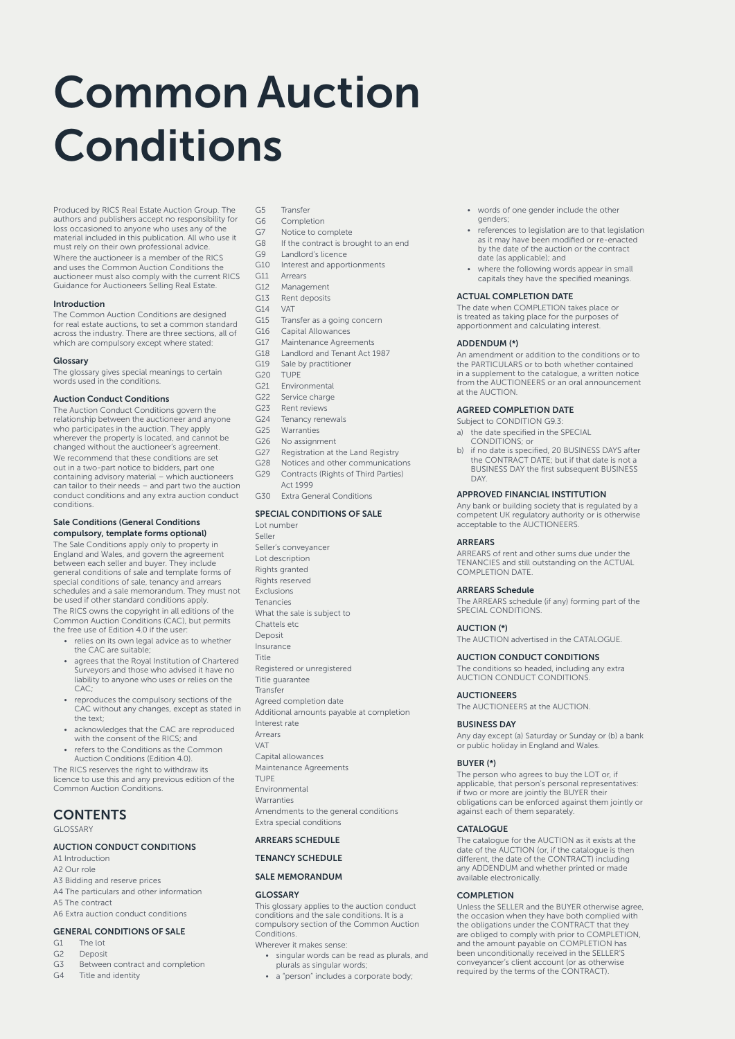# Common Auction Conditions

Produced by RICS Real Estate Auction Group. The authors and publishers accept no responsibility for loss occasioned to anyone who uses any of the material included in this publication. All who use it must rely on their own professional advice. Where the auctioneer is a member of the RICS and uses the Common Auction Conditions the auctioneer must also comply with the current RICS Guidance for Auctioneers Selling Real Estate.

## Introduction

The Common Auction Conditions are designed for real estate auctions, to set a common standard across the industry. There are three sections, all of which are compulsory except where stated:

## Glossary

The glossary gives special meanings to certain words used in the conditions.

## Auction Conduct Conditions

The Auction Conduct Conditions govern the relationship between the auctioneer and anyone who participates in the auction. They apply wherever the property is located, and cannot be changed without the auctioneer's agreement. We recommend that these conditions are set out in a two-part notice to bidders, part one containing advisory material – which auctioneers can tailor to their needs – and part two the auction conduct conditions and any extra auction conduct conditions.

## Sale Conditions (General Conditions compulsory, template forms optional)

The Sale Conditions apply only to property in England and Wales, and govern the agreement between each seller and buyer. They include general conditions of sale and template forms of special conditions of sale, tenancy and arrears schedules and a sale memorandum. They must not be used if other standard conditions apply. The RICS owns the copyright in all editions of the Common Auction Conditions (CAC), but permits the free use of Edition 4.0 if the user:

- relies on its own legal advice as to whether the CAC are suitable;
- agrees that the Royal Institution of Chartered Surveyors and those who advised it have no liability to anyone who uses or relies on the **CAC**
- reproduces the compulsory sections of the CAC without any changes, except as stated in the text;
- acknowledges that the CAC are reproduced with the consent of the RICS; and
- refers to the Conditions as the Common Auction Conditions (Edition 4.0).

The RICS reserves the right to withdraw its licence to use this and any previous edition of the Common Auction Conditions.

# **CONTENTS**

GLOSSARY

## AUCTION CONDUCT CONDITIONS

A1 Introduction A2 Our role A3 Bidding and reserve prices A4 The particulars and other information A5 The contract A6 Extra auction conduct conditions

## GENERAL CONDITIONS OF SALE

- G1 The lot
- G2 Deposit
- G3 Between contract and completion
- G4 Title and identity

- G5 Transfer<br>G6 Comple Completion
- G7 Notice to complete
- G8 If the contract is brought to an end
- G9 Landlord's licence
- G10 Interest and apportionments
- G11 Arrears
- G12 Management
- G13 Rent deposits<br>G14 VAT
- $G14$
- G15 Transfer as a going concern
- G16 Capital Allowances
- G17 Maintenance Agreements
- G18 Landlord and Tenant Act 1987
- G19 Sale by practitioner
- G20 TUPE
- G21 Environmental G22 Service charge
- G23 Rent reviews
- G24 Tenancy renewals
- G25 Warranties
- G26 No assignment
- G27 Registration at the Land Registry
- G28 Notices and other communications
- G29 Contracts (Rights of Third Parties)
- Act 1999 G30 Extra General Conditions

SPECIAL CONDITIONS OF SALE Lot number Seller Seller's conveyancer Lot description Rights granted Rights reserved Exclusions Tenancies What the sale is subject to Chattels etc Deposit Insurance Title Registered or unregistered Title guarantee Transfer Agreed completion date Additional amounts payable at completion Interest rate Arrears VAT Capital allowances Maintenance Agreements TUPE

Environmental Warranties Amendments to the general conditions

Extra special conditions

## ARREARS SCHEDULE

## TENANCY SCHEDULE

## SALE MEMORANDUM

## GLOSSARY

This glossary applies to the auction conduct conditions and the sale conditions. It is a compulsory section of the Common Auction Conditions

Wherever it makes sense:

- singular words can be read as plurals, and plurals as singular words;
- a "person" includes a corporate body;
- words of one gender include the other genders;
- references to legislation are to that legislation as it may have been modified or re-enacted by the date of the auction or the contract date (as applicable); and
- where the following words appear in small capitals they have the specified meanings.

## ACTUAL COMPLETION DATE

The date when COMPLETION takes place or is treated as taking place for the purposes of apportionment and calculating interest.

## ADDENDUM (\*)

An amendment or addition to the conditions or to the PARTICULARS or to both whether contained in a supplement to the catalogue, a written notice from the AUCTIONEERS or an oral announcement at the AUCTION.

## AGREED COMPLETION DATE

- Subject to CONDITION G9.3: a) the date specified in the SPECIAL CONDITIONS; or
- b) if no date is specified, 20 BUSINESS DAYS after the CONTRACT DATE; but if that date is not a BUSINESS DAY the first subsequent BUSINESS DAY.

## APPROVED FINANCIAL INSTITUTION

Any bank or building society that is regulated by a competent UK regulatory authority or is otherwise acceptable to the AUCTIONEERS.

## ARREARS

ARREARS of rent and other sums due under the TENANCIES and still outstanding on the ACTUAL COMPLETION DATE.

#### ARREARS Schedule

The ARREARS schedule (if any) forming part of the SPECIAL CONDITIONS.

## AUCTION (\*)

The AUCTION advertised in the CATALOGUE.

## AUCTION CONDUCT CONDITIONS

The conditions so headed, including any extra AUCTION CONDUCT CONDITIONS.

## **AUCTIONEERS**

The AUCTIONEERS at the AUCTION.

## BUSINESS DAY

Any day except (a) Saturday or Sunday or (b) a bank or public holiday in England and Wales.

## BUYER (\*)

The person who agrees to buy the LOT or, if applicable, that person's personal representatives: if two or more are jointly the BUYER their obligations can be enforced against them jointly or against each of them separately.

## CATALOGUE

The catalogue for the AUCTION as it exists at the date of the AUCTION (or, if the catalogue is then date of the content (e), it are calalogue is then<br>different, the date of the CONTRACT) including any ADDENDUM and whether printed or made available electronically.

## COMPLETION

Unless the SELLER and the BUYER otherwise agree, the occasion when they have both complied with the obligations under the CONTRACT that they are obliged to comply with prior to COMPLETION, and the amount payable on COMPLETION has been unconditionally received in the SELLER'S conveyancer's client account (or as otherwise required by the terms of the CONTRACT).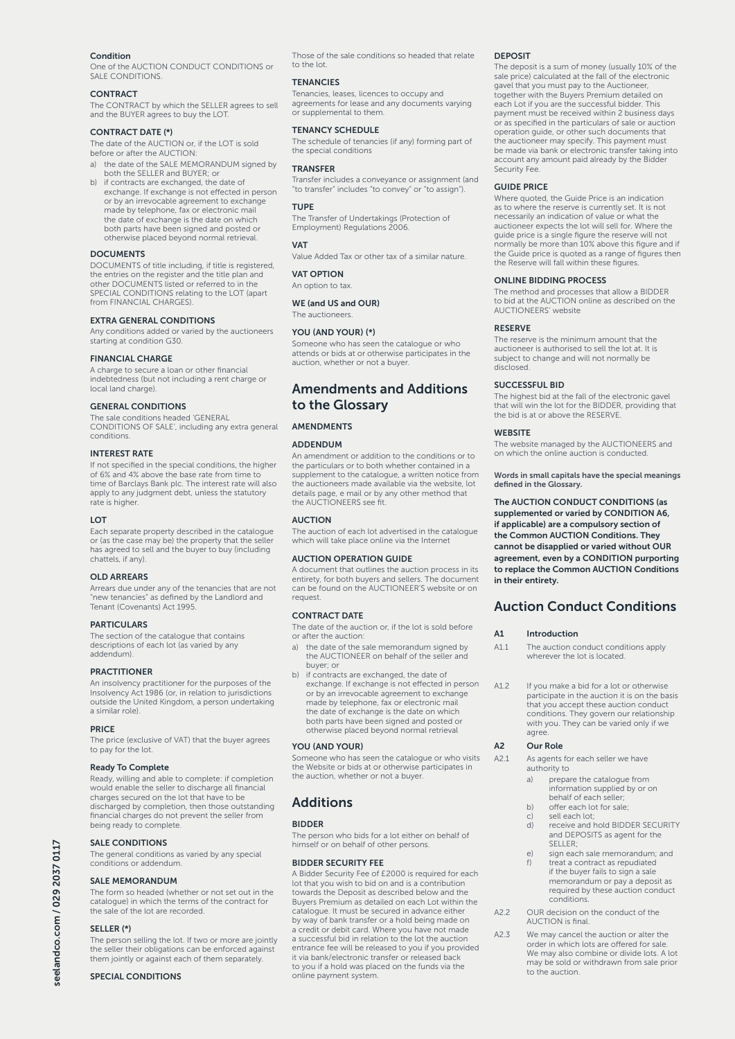## Condition

One of the AUCTION CONDUCT CONDITIONS or SALE CONDITIONS.

#### **CONTRACT**

The CONTRACT by which the SELLER agrees to sell and the BUYER agrees to buy the LOT.

#### CONTRACT DATE (\*)

The date of the AUCTION or, if the LOT is sold before or after the AUCTION:

- a) the date of the SALE MEMORANDUM signed by both the SELLER and BUYER; or
- b) if contracts are exchanged, the date of exchange. If exchange is not effected in person or by an irrevocable agreement to exchange made by telephone, fax or electronic mail the date of exchange is the date on which both parts have been signed and posted or otherwise placed beyond normal retrieval.

## **DOCUMENTS**

DOCUMENTS of title including, if title is registered, the entries on the register and the title plan and other DOCUMENTS listed or referred to in the SPECIAL CONDITIONS relating to the LOT (apart from FINANCIAL CHARGES).

## EXTRA GENERAL CONDITIONS

Any conditions added or varied by the auctioneers starting at condition G30.

#### FINANCIAL CHARGE

A charge to secure a loan or other financial indebtedness (but not including a rent charge or local land charge).

## GENERAL CONDITIONS

The sale conditions headed 'GENERAL CONDITIONS OF SALE', including any extra general conditions.

## INTEREST RATE

If not specified in the special conditions, the higher of 6% and 4% above the base rate from time to time of Barclays Bank plc. The interest rate will also apply to any judgment debt, unless the statutory rate is higher.

#### LOT

Each separate property described in the catalogue or (as the case may be) the property that the seller has agreed to sell and the buyer to buy (including chattels, if any).

#### OLD ARREARS

Arrears due under any of the tenancies that are not "new tenancies" as defined by the Landlord and Tenant (Covenants) Act 1995.

## **PARTICULARS**

The section of the catalogue that contains descriptions of each lot (as varied by any addendum).

#### **PRACTITIONER**

An insolvency practitioner for the purposes of the Insolvency Act 1986 (or, in relation to jurisdictions outside the United Kingdom, a person undertaking a similar role).

## **PRICE**

The price (exclusive of VAT) that the buyer agrees to pay for the lot.

## Ready To Complete

Ready, willing and able to complete: if completion would enable the seller to discharge all financial charges secured on the lot that have to be discharged by completion, then those outstanding financial charges do not prevent the seller from being ready to complete.

## SALE CONDITIONS

The general conditions as varied by any special conditions or addendum.

#### SALE MEMORANDUM

The form so headed (whether or not set out in the catalogue) in which the terms of the contract for the sale of the lot are recorded.

## SELLER (\*)

The person selling the lot. If two or more are jointly the seller their obligations can be enforced against them jointly or against each of them separately.

## SPECIAL CONDITIONS

Those of the sale conditions so headed that relate to the lot.

## **TENANCIES**

Tenancies, leases, licences to occupy and agreements for lease and any documents varying or supplemental to them.

## TENANCY SCHEDULE

The schedule of tenancies (if any) forming part of the special conditions

## **TRANSFER**

Transfer includes a conveyance or assignment (and "to transfer" includes "to convey" or "to assign").

## TUPE

The Transfer of Undertakings (Protection of Employment) Regulations 2006.

#### **VAT**

Value Added Tax or other tax of a similar nature.

## VAT OPTION

An option to tax.

WE (and US and OUR) The auctioneers.

#### YOU (AND YOUR) (\*)

Someone who has seen the catalogue or who attends or bids at or otherwise participates in the auction, whether or not a buyer.

## Amendments and Additions to the Glossary

## AMENDMENTS

#### **ADDENDUM**

An amendment or addition to the conditions or to the particulars or to both whether contained in a supplement to the catalogue, a written notice from the auctioneers made available via the website, lot details page, e mail or by any other method that the AUCTIONEERS see fit.

## AUCTION

The auction of each lot advertised in the catalogue which will take place online via the Internet

## AUCTION OPERATION GUIDE

A document that outlines the auction process in its entirety, for both buyers and sellers. The document can be found on the AUCTIONEER'S website or on request.

## CONTRACT DATE

The date of the auction or, if the lot is sold before or after the auction:

a) the date of the sale memorandum signed by the AUCTIONEER on behalf of the seller and buyer; or

b) if contracts are exchanged, the date of exchange. If exchange is not effected in person or by an irrevocable agreement to exchange made by telephone, fax or electronic mail the date of exchange is the date on which both parts have been signed and posted or otherwise placed beyond normal retrieval

#### YOU (AND YOUR)

Someone who has seen the catalogue or who visits the Website or bids at or otherwise participates in the auction, whether or not a buyer.

## Additions

#### **BIDDER**

The person who bids for a lot either on behalf of himself or on behalf of other persons.

## BIDDER SECURITY FEE

A Bidder Security Fee of £2000 is required for each lot that you wish to bid on and is a contribution towards the Deposit as described below and the Buyers Premium as detailed on each Lot within the catalogue. It must be secured in advance either by way of bank transfer or a hold being made on a credit or debit card. Where you have not made a successful bid in relation to the lot the auction entrance fee will be released to you if you provided it via bank/electronic transfer or released back to you if a hold was placed on the funds via the online payment system.

## DEPOSIT

The deposit is a sum of money (usually 10% of the sale price) calculated at the fall of the electronic gavel that you must pay to the Auctioneer, together with the Buyers Premium detailed on each Lot if you are the successful bidder. This payment must be received within 2 business days or as specified in the particulars of sale or auction operation guide, or other such documents that the auctioneer may specify. This payment must be made via bank or electronic transfer taking into account any amount paid already by the Bidder Security Fee.

## GUIDE PRICE

Where quoted, the Guide Price is an indication as to where the reserve is currently set. It is not necessarily an indication of value or what the auctioneer expects the lot will sell for. Where the guide price is a single figure the reserve will not normally be more than 10% above this figure and if the Guide price is quoted as a range of figures then the Reserve will fall within these figures.

## ONLINE BIDDING PROCESS

The method and processes that allow a BIDDER to bid at the AUCTION online as described on the AUCTIONEERS' website

## RESERVE

The reserve is the minimum amount that the auctioneer is authorised to sell the lot at. It is subject to change and will not normally be disclosed.

## SUCCESSFUL BID

The highest bid at the fall of the electronic gavel that will win the lot for the BIDDER, providing that the bid is at or above the RESERVE.

#### **WEBSITE**

The website managed by the AUCTIONEERS and on which the online auction is conducted.

Words in small capitals have the special meanings defined in the Glossary.

The AUCTION CONDUCT CONDITIONS (as supplemented or varied by CONDITION A6, if applicable) are a compulsory section of the Common AUCTION Conditions. They cannot be disapplied or varied without OUR agreement, even by a CONDITION purporting to replace the Common AUCTION Conditions in their entirety.

## Auction Conduct Conditions

#### A1 Introduction

- A1.1 The auction conduct conditions apply wherever the lot is located.
- A1.2 If you make a bid for a lot or otherwise participate in the auction it is on the basis that you accept these auction conduct conditions. They govern our relationship with you. They can be varied only if we agree

## A2 Our Role

A2.1 As agents for each seller we have authority to

- a) prepare the catalogue from information supplied by or on behalf of each seller;
- b) offer each lot for sale;<br>c) sell each lot:
- c) sell each lot; d) receive and hold BIDDER SECURITY and DEPOSITS as agent for the SELLER;
- e) sign each sale memorandum; and<br>f) treat a contract as repudiated treat a contract as repudiated
- if the buyer fails to sign a sale memorandum or pay a deposit as required by these auction conduct conditions.
- A2.2 OUR decision on the conduct of the AUCTION is final.

A2.3 We may cancel the auction or alter the order in which lots are offered for sale. We may also combine or divide lots. A lot may be sold or withdrawn from sale prior to the auction.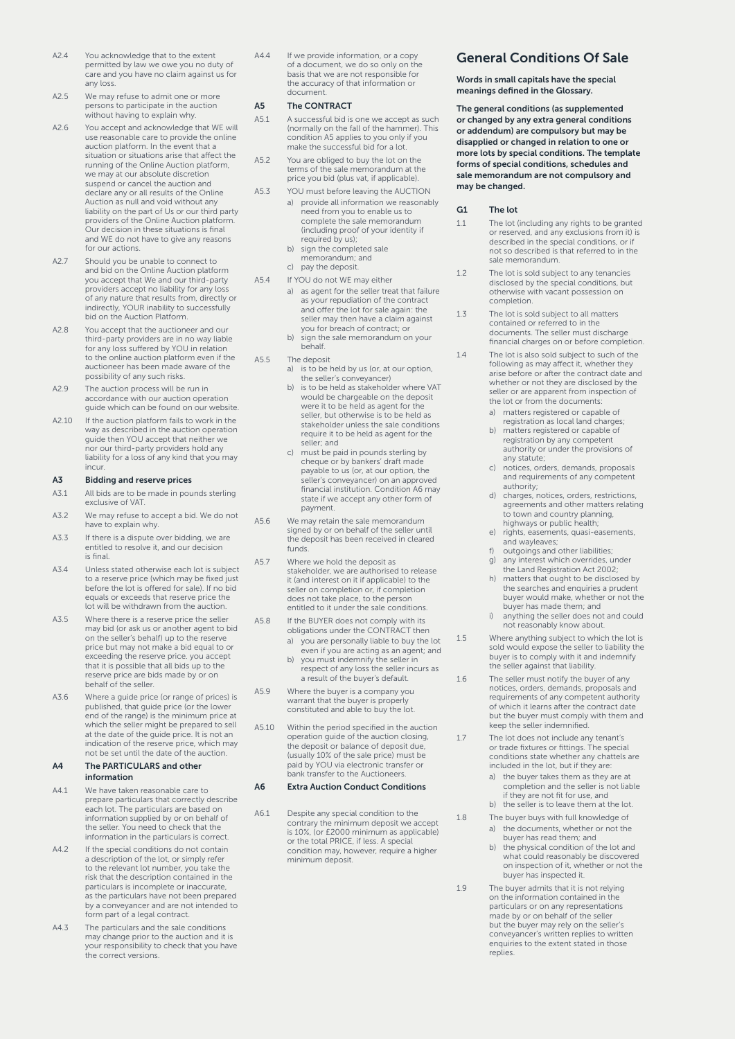- A2.4 You acknowledge that to the extent permitted by law we owe you no duty of care and you have no claim against us for any loss.
- A2.5 We may refuse to admit one or more persons to participate in the auction without having to explain why.
- A2.6 You accept and acknowledge that WE will use reasonable care to provide the online auction platform. In the event that a situation or situations arise that affect the running of the Online Auction platform, we may at our absolute discretion suspend or cancel the auction and declare any or all results of the Online Auction as null and void without any liability on the part of Us or our third party providers of the Online Auction platform. Our decision in these situations is final and WE do not have to give any reasons for our actions.
- A2.7 Should you be unable to connect to and bid on the Online Auction platform you accept that We and our third-party providers accept no liability for any loss of any nature that results from, directly or indirectly, YOUR inability to successfully bid on the Auction Platform.
- A2.8 You accept that the auctioneer and our third-party providers are in no way liable for any loss suffered by YOU in relation to the online auction platform even if the auctioneer has been made aware of the possibility of any such risks.
- A2.9 The auction process will be run in accordance with our auction operation guide which can be found on our website.
- A2.10 If the auction platform fails to work in the way as described in the auction operation guide then YOU accept that neither we nor our third-party providers hold any liability for a loss of any kind that you may incur.

## A3 Bidding and reserve prices

- A3.1 All bids are to be made in pounds sterling exclusive of VAT.
- A3.2 We may refuse to accept a bid. We do not have to explain why.
- A3.3 If there is a dispute over bidding, we are entitled to resolve it, and our decision is final.
- A3.4 Unless stated otherwise each lot is subject to a reserve price (which may be fixed just before the lot is offered for sale). If no bid equals or exceeds that reserve price the lot will be withdrawn from the auction.
- A3.5 Where there is a reserve price the seller may bid (or ask us or another agent to bid on the seller's behalf) up to the reserve price but may not make a bid equal to or exceeding the reserve price. you accept that it is possible that all bids up to the reserve price are bids made by or on behalf of the seller.
- A3.6 Where a guide price (or range of prices) is published, that guide price (or the lower end of the range) is the minimum price at which the seller might be prepared to sell at the date of the guide price. It is not an indication of the reserve price, which may not be set until the date of the auction.

## A4 The PARTICULARS and other information

- A4.1 We have taken reasonable care to prepare particulars that correctly describe each lot. The particulars are based on information supplied by or on behalf of the seller. You need to check that the information in the particulars is correct.
- A4.2 If the special conditions do not contain a description of the lot, or simply refer to the relevant lot number, you take the risk that the description contained in the particulars is incomplete or inaccurate, as the particulars have not been prepared by a conveyancer and are not intended to form part of a legal contract.
- A4.3 The particulars and the sale conditions may change prior to the auction and it is your responsibility to check that you have the correct versions.

A4.4 If we provide information, or a copy of a document, we do so only on the basis that we are not responsible for the accuracy of that information or document.

#### A5 The CONTRACT

- A5.1 A successful bid is one we accept as such (normally on the fall of the hammer). This condition A5 applies to you only if you make the successful bid for a lot.
- A5.2 You are obliged to buy the lot on the terms of the sale memorandum at the price you bid (plus vat, if applicable).
- A5.3 YOU must before leaving the AUCTION a) provide all information we reasonably provide all information we read complete the sale memorandum (including proof of your identity if required by us);
	- b) sign the completed sale memorandum; and
	- c) pay the deposit.
- A5.4 If YOU do not WE may either
	- a) as agent for the seller treat that failure as your repudiation of the contract and offer the lot for sale again: the seller may then have a claim against you for breach of contract; or
	- b) sign the sale memorandum on your behalf.
- A5.5 The deposit
	- a) is to be held by us (or, at our option, the seller's conveyancer)
	- b) is to be held as stakeholder where VAT would be chargeable on the deposit were it to be held as agent for the seller, but otherwise is to be held as stakeholder unless the sale conditions require it to be held as agent for the seller; and
	- c) must be paid in pounds sterling by cheque or by bankers' draft made payable to us (or, at our option, the seller's conveyancer) on an approved financial institution. Condition A6 may state if we accept any other form of payment.
- A5.6 We may retain the sale memorandum signed by or on behalf of the seller until the deposit has been received in cleared funds.
- A5.7 Where we hold the deposit as stakeholder, we are authorised to release it (and interest on it if applicable) to the seller on completion or, if completion does not take place, to the person entitled to it under the sale conditions.
- A5.8 If the BUYER does not comply with its obligations under the CONTRACT then
	- a) you are personally liable to buy the lot even if you are acting as an agent; and
	- b) you must indemnify the seller in respect of any loss the seller incurs as a result of the buyer's default.
- A5.9 Where the buyer is a company you warrant that the buyer is properly constituted and able to buy the lot.
- A5.10 Within the period specified in the auction operation guide of the auction closing, the deposit or balance of deposit due, (usually 10% of the sale price) must be paid by YOU via electronic transfer or bank transfer to the Auctioneer

## A6 Extra Auction Conduct Conditions

A6.1 Despite any special condition to the contrary the minimum deposit we accept is 10%, (or £2000 minimum as applicable) or the total PRICE, if less. A special condition may, however, require a higher minimum deposit.

# General Conditions Of Sale

Words in small capitals have the special meanings defined in the Glossary.

The general conditions (as supplemented or changed by any extra general conditions or addendum) are compulsory but may be disapplied or changed in relation to one or more lots by special conditions. The template forms of special conditions, schedules and sale memorandum are not compulsory and may be changed.

## G1 The lot

- 1.1 The lot (including any rights to be granted or reserved, and any exclusions from it) is described in the special conditions, or if not so described is that referred to in the sale memorandum.
- 1.2 The lot is sold subject to any tenancies disclosed by the special conditions, but otherwise with vacant possession on completion.
- 1.3 The lot is sold subject to all matters contained or referred to in the documents. The seller must discharge financial charges on or before completion.
- 1.4 The lot is also sold subject to such of the following as may affect it, whether they arise before or after the contract date and whether or not they are disclosed by the seller or are apparent from inspection of the lot or from the documents:
	- a) matters registered or capable of registration as local land charges;
	- b) matters registered or capable of registration by any competent authority or under the provisions of
	- any statute; c) notices, orders, demands, proposals and requirements of any competent authority; d) charges, notices, orders, restrictions,
	- agreements and other matters relating to town and country planning, highways or public health;
	- e) rights, easements, quasi-easements,
	- and wayleaves; f) outgoings and other liabilities; g) any interest which overrides, under
	- the Land Registration Act 2002; h) matters that ought to be disclosed by
	- the searches and enquiries a prudent buyer would make, whether or not the buyer has made them; and
	- i) anything the seller does not and could not reasonably know about.
- 1.5 Where anything subject to which the lot is sold would expose the seller to liability the buyer is to comply with it and indemnify the seller against that liability.
- 1.6 The seller must notify the buyer of any notices, orders, demands, proposals and requirements of any competent authority of which it learns after the contract date but the buyer must comply with them and keep the seller indemnified.

1.7 The lot does not include any tenant's or trade fixtures or fittings. The special conditions state whether any chattels are included in the lot, but if they are:

- a) the buyer takes them as they are at completion and the seller is not liable if they are not fit for use, and
- b) the seller is to leave them at the lot.
- 1.8 The buyer buys with full knowledge of a) the documents, whether or not the buyer has read them; and
	- b) the physical condition of the lot and what could reasonably be discovered on inspection of it, whether or not the buyer has inspected it.
- 1.9 The buyer admits that it is not relying on the information contained in the particulars or on any representations made by or on behalf of the seller but the buyer may rely on the seller's conveyancer's written replies to written enquiries to the extent stated in those replies.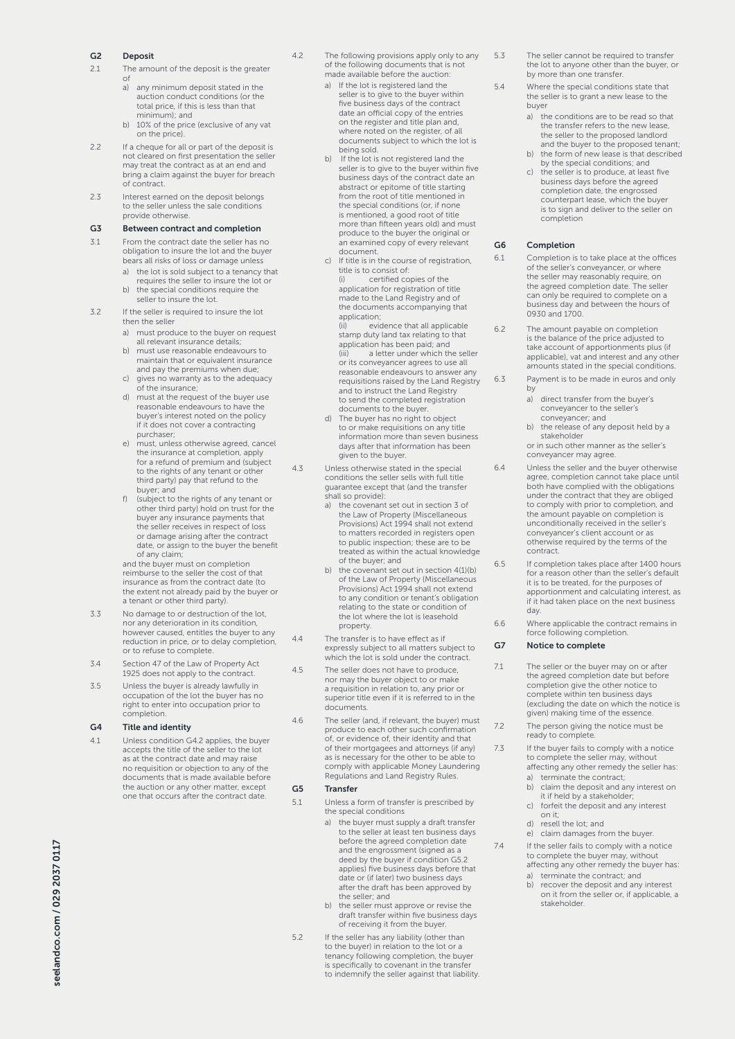## G2 Deposit

- 2.1 The amount of the deposit is the greater
	- of a) any minimum deposit stated in the auction conduct conditions (or the total price, if this is less than that minimum); and
	- b) 10% of the price (exclusive of any vat on the price).
- 2.2 If a cheque for all or part of the deposit is not cleared on first presentation the seller may treat the contract as at an end and bring a claim against the buyer for breach of contract.
- 2.3 Interest earned on the deposit belongs to the seller unless the sale conditions provide otherwise.

## G3 Between contract and completion

- 3.1 From the contract date the seller has no obligation to insure the lot and the buyer bears all risks of loss or damage unless
	- a) the lot is sold subject to a tenancy that requires the seller to insure the lot or
	- b) the special conditions require the seller to insure the lot.

## 3.2 If the seller is required to insure the lot then the seller

- a) must produce to the buyer on request all relevant insurance details; b) must use reasonable endeavours to
- maintain that or equivalent insurance and pay the premiums when due;
- c) gives no warranty as to the adequacy of the insurance;
- d) must at the request of the buyer use reasonable endeavours to have the buyer's interest noted on the policy if it does not cover a contracting purchaser;
- e) must, unless otherwise agreed, cancel the insurance at completion, apply for a refund of premium and (subject to the rights of any tenant or other third party) pay that refund to the buyer; and
- f) (subject to the rights of any tenant or other third party) hold on trust for the buyer any insurance payments that the seller receives in respect of loss or damage arising after the contract date, or assign to the buyer the benefit of any claim;

and the buyer must on completion reimburse to the seller the cost of that insurance as from the contract date (to the extent not already paid by the buyer or a tenant or other third party).

- 3.3 No damage to or destruction of the lot, nor any deterioration in its condition, however caused, entitles the buyer to any reduction in price, or to delay completion, or to refuse to complete.
- 3.4 Section 47 of the Law of Property Act 1925 does not apply to the contract.
- 3.5 Unless the buyer is already lawfully in occupation of the lot the buyer has no right to enter into occupation prior to completion.

## G4 Title and identity

4.1 Unless condition G4.2 applies, the buyer accepts the title of the seller to the lot as at the contract date and may raise no requisition or objection to any of the documents that is made available before the auction or any other matter, except one that occurs after the contract date.

- 4.2 The following provisions apply only to any of the following documents that is not made available before the auction:
	- a) If the lot is registered land the seller is to give to the buyer within five business days of the contract date an official copy of the entries on the register and title plan and, where noted on the register, of all documents subject to which the lot is being sold.
	- If the lot is not registered land the seller is to give to the buyer within five business days of the contract date an abstract or epitome of title starting from the root of title mentioned in the special conditions (or, if none is mentioned, a good root of title more than fifteen years old) and must produce to the buyer the original or an examined copy of every relevant
	- document. c) If title is in the course of registration, title is to consist of: (i) certified copies of the application for registration of title made to the Land Registry and of the documents accompanying that

application; evidence that all applicable stamp duty land tax relating to that application has been paid; and (iii) a letter under which the seller or its conveyancer agrees to use all reasonable endeavours to answer any requisitions raised by the Land Registry and to instruct the Land Registry to send the completed registration documents to the buyer.

- d) The buyer has no right to object to or make requisitions on any title information more than seven business days after that information has been given to the buyer.
- 4.3 Unless otherwise stated in the special conditions the seller sells with full title guarantee except that (and the transfer shall so provide):
	- a) the covenant set out in section 3 of the Law of Property (Miscellaneous Provisions) Act 1994 shall not extend to matters recorded in registers open to public inspection; these are to be treated as within the actual knowledge of the buyer; and
	- b) the covenant set out in section 4(1)(b) of the Law of Property (Miscellaneous Provisions) Act 1994 shall not extend to any condition or tenant's obligation relating to the state or condition of the lot where the lot is leasehold property.
- 4.4 The transfer is to have effect as if expressly subject to all matters subject to which the lot is sold under the contract.

4.5 The seller does not have to produce, nor may the buyer object to or make a requisition in relation to, any prior or superior title even if it is referred to in the documents.

4.6 The seller (and, if relevant, the buyer) must produce to each other such confirmation of, or evidence of, their identity and that of their mortgagees and attorneys (if any) as is necessary for the other to be able to comply with applicable Money Laundering Regulations and Land Registry Rules.

## G5 Transfer

- 5.1 Unless a form of transfer is prescribed by the special conditions
	- a) the buyer must supply a draft transfer to the seller at least ten business days before the agreed completion date and the engrossment (signed as a deed by the buyer if condition G5.2 applies) five business days before that date or (if later) two business days after the draft has been approved by the seller; and
	- b) the seller must approve or revise the draft transfer within five business days of receiving it from the buyer.
- 5.2 If the seller has any liability (other than to the buyer) in relation to the lot or a tenancy following completion, the buyer is specifically to covenant in the transfer to indemnify the seller against that liability.
- 5.3 The seller cannot be required to transfer the lot to anyone other than the buyer, or by more than one transfer.
- 5.4 Where the special conditions state that the seller is to grant a new lease to the buyer
	- a) the conditions are to be read so that the transfer refers to the new lease, the seller to the proposed landlord and the buyer to the proposed tenant;
	- b) the form of new lease is that described by the special conditions; and
	- c) the seller is to produce, at least five business days before the agreed completion date, the engrossed counterpart lease, which the buyer is to sign and deliver to the seller on completion

## G6 Completion

- 6.1 Completion is to take place at the offices of the seller's conveyancer, or where the seller may reasonably require, on the agreed completion date. The seller can only be required to complete on a business day and between the hours of 0930 and 1700.
- 6.2 The amount payable on completion is the balance of the price adjusted to take account of apportionments plus (if applicable), vat and interest and any other amounts stated in the special conditions.
- 6.3 Payment is to be made in euros and only by
	- a) direct transfer from the buyer's conveyancer to the seller's conveyancer; and
	- b) the release of any deposit held by a stakeholder
	- or in such other manner as the seller's conveyancer may agree.
- 6.4 Unless the seller and the buyer otherwise agree, completion cannot take place until both have complied with the obligations under the contract that they are obliged to comply with prior to completion, and the amount payable on completion is unconditionally received in the seller's conveyancer's client account or as otherwise required by the terms of the contract.
- 6.5 If completion takes place after 1400 hours for a reason other than the seller's default it is to be treated, for the purposes of apportionment and calculating interest, as if it had taken place on the next business day.
- 6.6 Where applicable the contract remains in force following completion.

## G7 Notice to complete

- 7.1 The seller or the buyer may on or after the agreed completion date but before completion give the other notice to complete within ten business days (excluding the date on which the notice is given) making time of the essence
- 7.2 The person giving the notice must be ready to complete.
- 7.3 If the buyer fails to comply with a notice to complete the seller may, without affecting any other remedy the seller has:
	- a) terminate the contract; b) claim the deposit and any interest on
	- it if held by a stakeholder c) forfeit the deposit and any interest
	- on it; d) resell the lot; and
	- e) claim damages from the buyer.

7.4 If the seller fails to comply with a notice to complete the buyer may, without affecting any other remedy the buyer has:

- a) terminate the contract; and
- b) recover the deposit and any interest on it from the seller or, if applicable, a stakeholder.

seelandco.com / 029 2037 0117 seelandco.com / 029 2037 0117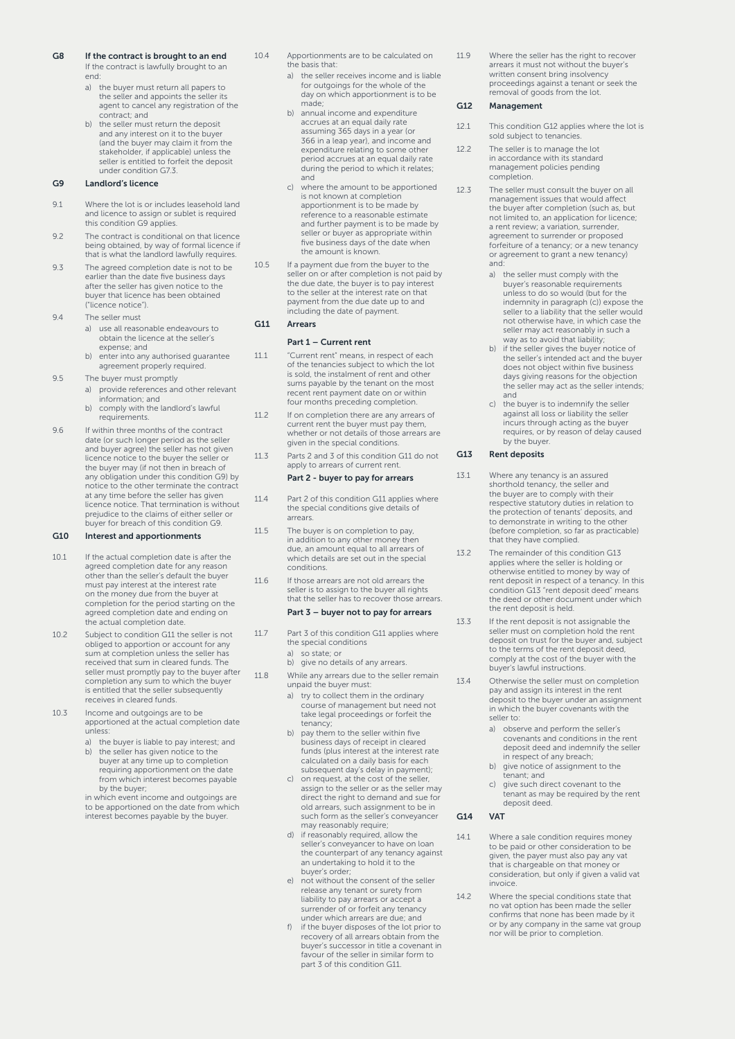- G8 If the contract is brought to an end If the contract is lawfully brought to an
	- end: a) the buyer must return all papers to the seller and appoints the seller its agent to cancel any registration of the
	- contract; and the seller must return the deposit and any interest on it to the buyer (and the buyer may claim it from the stakeholder, if applicable) unless the seller is entitled to forfeit the deposit under condition G7.3.

## G9 Landlord's licence

- 9.1 Where the lot is or includes leasehold land and licence to assign or sublet is required this condition G9 applies.
- 9.2 The contract is conditional on that licence being obtained, by way of formal licence if that is what the landlord lawfully requires.
- 9.3 The agreed completion date is not to be earlier than the date five business days after the seller has given notice to the buyer that licence has been obtained ("licence notice").
- 9.4 The seller must
	- a) use all reasonable endeavours to obtain the licence at the seller's expense; and
		- b) enter into any authorised guarantee agreement properly required.
- 9.5 The buyer must promptly
	- a) provide references and other relevant information; and
	- b) comply with the landlord's lawful requirements.
- 9.6 If within three months of the contract date (or such longer period as the seller and buyer agree) the seller has not given licence notice to the buyer the seller or the buyer may (if not then in breach of any obligation under this condition G9) by notice to the other terminate the contract at any time before the seller has given licence notice. That termination is without prejudice to the claims of either seller or buyer for breach of this condition G9.

## G10 Interest and apportionments

- 10.1 If the actual completion date is after the agreed completion date for any reason other than the seller's default the buyer must pay interest at the interest rate on the money due from the buyer at completion for the period starting on the agreed completion date and ending on the actual completion date.
- 10.2 Subject to condition G11 the seller is not obliged to apportion or account for any sum at completion unless the seller has received that sum in cleared funds. The seller must promptly pay to the buyer after completion any sum to which the buyer is entitled that the seller subsequently receives in cleared funds.
- 10.3 Income and outgoings are to be apportioned at the actual completion date unless:
	- a) the buyer is liable to pay interest; and<br>b) the seller has given notice to the the seller has given notice to the buyer at any time up to completion requiring apportionment on the date from which interest becomes payable

by the buyer; in which event income and outgoings are to be apportioned on the date from which interest becomes payable by the buyer.

- 10.4 Apportionments are to be calculated on the basis that:
	- a) the seller receives income and is liable for outgoings for the whole of the day on which apportionment is to be made;
	- b) annual income and expenditure accrues at an equal daily rate assuming 365 days in a year (or 366 in a leap year), and income and expenditure relating to some other period accrues at an equal daily rate during the period to which it relates; and
	- c) where the amount to be apportioned is not known at completion apportionment is to be made by reference to a reasonable estimate and further payment is to be made by seller or buyer as appropriate within five business days of the date when the amount is known.
- 10.5 If a payment due from the buyer to the seller on or after completion is not paid by the due date, the buyer is to pay interest to the seller at the interest rate on that payment from the due date up to and including the date of payment.

## G11 Arrears

## Part 1 – Current rent

- 11.1 "Current rent" means, in respect of each of the tenancies subject to which the lot is sold, the instalment of rent and other sums payable by the tenant on the most recent rent payment date on or within four months preceding completion.
- 11.2 If on completion there are any arrears of current rent the buyer must pay them, whether or not details of those arrears are given in the special conditions.
- 11.3 Parts 2 and 3 of this condition G11 do not apply to arrears of current rent.

## Part 2 - buyer to pay for arrears

- 11.4 Part 2 of this condition G11 applies where the special conditions give details of arrears.
- 11.5 The buyer is on completion to pay, in addition to any other money then due, an amount equal to all arrears of which details are set out in the special conditions.
- 11.6 If those arrears are not old arrears the seller is to assign to the buyer all rights that the seller has to recover those arrears. Part 3 – buyer not to pay for arrears

- 11.7 Part 3 of this condition G11 applies where the special conditions
	-
	- a) so state; or<br>b) give no details of any arrears.
- 11.8 While any arrears due to the seller remain unpaid the buyer must:
	- a) try to collect them in the ordinary course of management but need not take legal proceedings or forfeit the tenancy;
	- b) pay them to the seller within five business days of receipt in cleared funds (plus interest at the interest rate calculated on a daily basis for each
	- subsequent day's delay in payment); c) on request, at the cost of the seller, assign to the seller or as the seller may direct the right to demand and sue for old arrears, such assignment to be in such form as the seller's conveyancer may reasonably require; d) if reasonably required, allow the
	- seller's conveyancer to have on loan the counterpart of any tenancy against an undertaking to hold it to the
	- buyer's order; e) not without the consent of the seller release any tenant or surety from liability to pay arrears or accept a surrender of or forfeit any tenancy under which arrears are due; and
	- f) if the buyer disposes of the lot prior to recovery of all arrears obtain from the buyer's successor in title a covenant in favour of the seller in similar form to part 3 of this condition G11.

11.9 Where the seller has the right to recover arrears it must not without the buyer's written consent bring insolvency proceedings against a tenant or seek the removal of goods from the lot.

## G12 Management

- 12.1 This condition G12 applies where the lot is sold subject to tenancies.
- 12.2 The seller is to manage the lot in accordance with its standard management policies pending completion.
- 12.3 The seller must consult the buyer on all management issues that would affect the buyer after completion (such as, but not limited to, an application for licence; a rent review; a variation, surrender, a refinite view, a vanadori, sarrender, forfeiture of a tenancy; or a new tenancy or agreement to grant a new tenancy) and:
	- a) the seller must comply with the buyer's reasonable requirements unless to do so would (but for the indemnity in paragraph (c)) expose the seller to a liability that the seller would not otherwise have, in which case the seller may act reasonably in such a way as to avoid that liability;
	- b) if the seller gives the buyer notice of the seller's intended act and the buyer does not object within five business days giving reasons for the objection the seller may act as the seller intends; and
	- c) the buyer is to indemnify the seller against all loss or liability the seller incurs through acting as the buyer requires, or by reason of delay caused by the buyer.

## G13 Rent deposits

- 13.1 Where any tenancy is an assured shorthold tenancy, the seller and the buyer are to comply with their respective statutory duties in relation to the protection of tenants' deposits, and to demonstrate in writing to the other (before completion, so far as practicable) that they have complied.
- 13.2 The remainder of this condition G13 applies where the seller is holding or otherwise entitled to money by way of rent deposit in respect of a tenancy. In this condition G13 "rent deposit deed" means the deed or other document under which the rent deposit is held.
- 13.3 If the rent deposit is not assignable the seller must on completion hold the rent deposit on trust for the buyer and, subject to the terms of the rent deposit deed, comply at the cost of the buyer with the buyer's lawful instructions.
- 13.4 Otherwise the seller must on completion pay and assign its interest in the rent deposit to the buyer under an assignment in which the buyer covenants with the seller to:
	- a) observe and perform the seller's covenants and conditions in the rent deposit deed and indemnify the seller in respect of any breach;
	- b) give notice of assignment to the tenant; and
	- c) give such direct covenant to the tenant as may be required by the rent deposit deed.

## G14 VAT

- 14.1 Where a sale condition requires money to be paid or other consideration to be given, the payer must also pay any vat that is chargeable on that money or consideration, but only if given a valid vat invoice.
- 14.2 Where the special conditions state that no vat option has been made the seller confirms that none has been made by it or by any company in the same vat group nor will be prior to completion.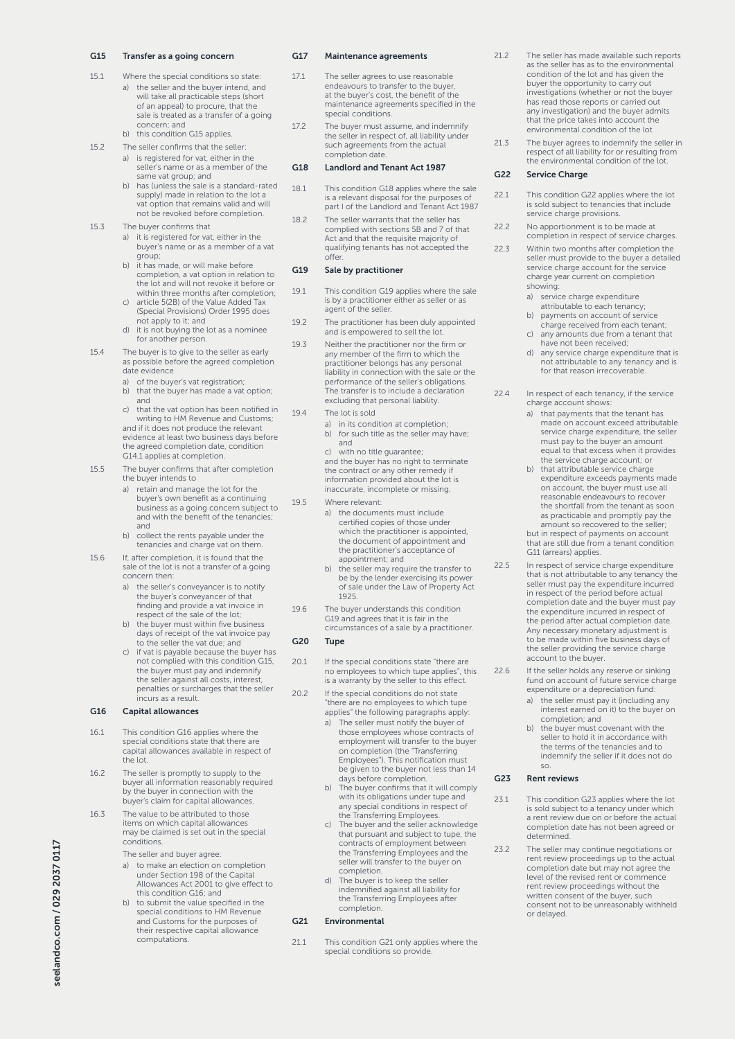## G15 Transfer as a going concern

- 15.1 Where the special conditions so state: a) the seller and the buyer intend, and will take all practicable steps (short of an appeal) to procure, that the sale is treated as a transfer of a going concern; and b) this condition G15 applies.
- 15.2 The seller confirms that the seller:
	- a) is registered for vat, either in the seller's name or as a member of the same vat group; and
		- b) has (unless the sale is a standard-rated supply) made in relation to the lot a vat option that remains valid and will not be revoked before completion.
- 15.3 The buyer confirms that
	- a) it is registered for vat, either in the buyer's name or as a member of a vat group;
	- b) it has made, or will make before completion, a vat option in relation to the lot and will not revoke it before or within three months after completion; c) article 5(2B) of the Value Added Tax
	- (Special Provisions) Order 1995 does not apply to it; and
	- d) it is not buying the lot as a nominee for another person.
- 15.4 The buyer is to give to the seller as early as possible before the agreed completion date evidence
	- a) of the buyer's vat registration;
	- b) that the buyer has made a vat option; and c) that the vat option has been notified in
	- writing to HM Revenue and Customs; and if it does not produce the relevant evidence at least two business days before the agreed completion date, condition G14.1 applies at completion.
- 15.5 The buyer confirms that after completion the buyer intends to
	- a) retain and manage the lot for the buyer's own benefit as a continuing business as a going concern subject to and with the benefit of the tenancies; and
	- b) collect the rents payable under the tenancies and charge vat on them.
- 15.6 If, after completion, it is found that the sale of the lot is not a transfer of a going concern then:
	- a) the seller's conveyancer is to notify the buyer's conveyancer of that finding and provide a vat invoice in respect of the sale of the lot; b) the buyer must within five business
	- days of receipt of the vat invoice pay to the seller the vat due; and
	- c) if vat is payable because the buyer has not complied with this condition G15, the buyer must pay and indemnify the seller against all costs, interest, penalties or surcharges that the seller incurs as a result.

## G16 Capital allowances

- 16.1 This condition G16 applies where the special conditions state that there are capital allowances available in respect of the lot.
- 16.2 The seller is promptly to supply to the buyer all information reasonably required by the buyer in connection with the buyer's claim for capital allowances.
- 16.3 The value to be attributed to those items on which capital allowances may be claimed is set out in the special conditions.
	- The seller and buyer agree:
	- a) to make an election on completion under Section 198 of the Capital Allowances Act 2001 to give effect to this condition G16; and
	- b) to submit the value specified in the special conditions to HM Revenue and Customs for the purposes of their respective capital allowance computations.

## G17 Maintenance agreements

- 17.1 The seller agrees to use reasonable endeavours to transfer to the buyer, at the buyer's cost, the benefit of the maintenance agreements specified in the special conditions.
- 17.2 The buyer must assume, and indemnify the seller in respect of, all liability under such agreements from the actual completion date.

## G18 Landlord and Tenant Act 1987

- 18.1 This condition G18 applies where the sale is a relevant disposal for the purposes of part I of the Landlord and Tenant Act 1987
- 18.2 The seller warrants that the seller has complied with sections 5B and 7 of that Act and that the requisite majority of qualifying tenants has not accepted the offer.

## G19 Sale by practitioner

- 19.1 This condition G19 applies where the sale is by a practitioner either as seller or as agent of the seller.
- 19.2 The practitioner has been duly appointed and is empowered to sell the lot.
- 19.3 Neither the practitioner nor the firm or any member of the firm to which the practitioner belongs has any personal liability in connection with the sale or the performance of the seller's obligations. The transfer is to include a declaration excluding that personal liability.
- 19.4 The lot is sold
	- a) in its condition at completion; b) for such title as the seller may have; and

c) with no title guarantee; and the buyer has no right to terminate the contract or any other remedy if information provided about the lot is inaccurate, incomplete or missing.

- 19.5 Where relevant:
	- a) the documents must include certified copies of those under which the practitioner is appointed, the document of appointment and the practitioner's acceptance of appointment; and
	- b) the seller may require the transfer to be by the lender exercising its power of sale under the Law of Property Act 1925.
- 19.6 The buyer understands this condition G19 and agrees that it is fair in the circumstances of a sale by a practitioner.

## G20 Tupe

- 20.1 If the special conditions state "there are no employees to which tupe applies", this is a warranty by the seller to this effect.
- 20.2 If the special conditions do not state "there are no employees to which tupe applies" the following paragraphs apply:
	- a) The seller must notify the buyer of those employees whose contracts of employment will transfer to the buyer on completion (the "Transferring Employees"). This notification must be given to the buyer not less than 14 days before completion.
	- b) The buyer confirms that it will comply with its obligations under tupe and any special conditions in respect of the Transferring Employees. c) The buyer and the seller acknowledge
	- that pursuant and subject to tupe, the contracts of employment between the Transferring Employees and the seller will transfer to the buyer on completion.
	- d) The buyer is to keep the seller indemnified against all liability for the Transferring Employees after completion.

## G21 Environmental

21.1 This condition G21 only applies where the special conditions so provide.

- 21.2 The seller has made available such reports as the seller has as to the environmental condition of the lot and has given the buyer the opportunity to carry out investigations (whether or not the buyer has read those reports or carried out any investigation) and the buyer admits that the price takes into account the environmental condition of the lot
- 21.3 The buyer agrees to indemnify the seller in respect of all liability for or resulting from the environmental condition of the lot.

## G<sub>22</sub> Service Charge

- 22.1 This condition G22 applies where the lot is sold subject to tenancies that include service charge provisions.
- 22.2 No apportionment is to be made at completion in respect of service charges.
- 22.3 Within two months after completion the seller must provide to the buyer a detailed service charge account for the service charge year current on completion showing:
	- a) service charge expenditure
	- attributable to each tenancy; b) payments on account of service charge received from each tenant;
	- c) any amounts due from a tenant that have not been received;
	- d) any service charge expenditure that is not attributable to any tenancy and is for that reason irrecoverable.

22.4 In respect of each tenancy, if the service charge account shows:

- a) that payments that the tenant has made on account exceed attributable service charge expenditure, the seller must pay to the buyer an amount equal to that excess when it provides the service charge account; or
- b) that attributable service charge expenditure exceeds payments made on account, the buyer must use all reasonable endeavours to recover the shortfall from the tenant as soon as practicable and promptly pay the amount so recovered to the seller; but in respect of payments on account that are still due from a tenant condition
- 
- 22.5 In respect of service charge expenditure that is not attributable to any tenancy the seller must pay the expenditure incurred in respect of the period before actual completion date and the buyer must pay the expenditure incurred in respect of the period after actual completion date. Any necessary monetary adjustment is to be made within five business days of the seller providing the service charge account to the buyer.

G11 (arrears) applies.

- 22.6 If the seller holds any reserve or sinking fund on account of future service charge expenditure or a depreciation fund:
	- a) the seller must pay it (including any interest earned on it) to the buyer on completion; and
	- b) the buyer must covenant with the seller to hold it in accordance with the terms of the tenancies and to indemnify the seller if it does not do so.

## G23 Rent reviews

- 23.1 This condition G23 applies where the lot is sold subject to a tenancy under which a rent review due on or before the actual completion date has not been agreed or determined.
- 23.2 The seller may continue negotiations or rent review proceedings up to the actual completion date but may not agree the level of the revised rent or commence rent review proceedings without the written consent of the buyer, such consent not to be unreasonably withheld or delayed.